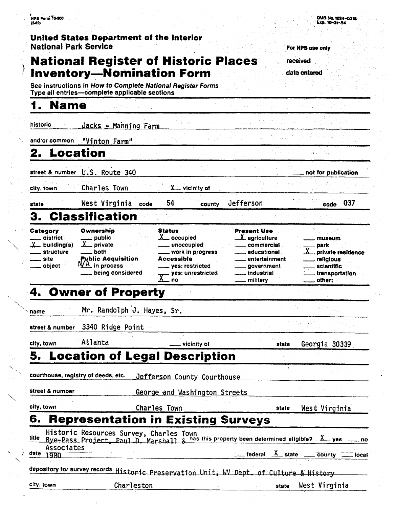### **United States Department of the Interior National Park Service** *Park Service Park <b>Park Service <i>For NPS use only For NPS was only For NPS was only For NPS was only For NPS was only For NPS was only For NPS was only For NPS was only For NP*

# **National Register of Historic Places** received **Inventory-Nomination Form** *date* entered

See instructions in How **to Complete National Register Forms**  Type all entries-complete applicable sections

### **1. Name**

 $\ddot{\phantom{0}}$ 

| historic                                                                          | <u> Jacks - Manning Farm</u>                                                                                         |                                                                                                                                            |                                                                                                                                       |                                                                                            |
|-----------------------------------------------------------------------------------|----------------------------------------------------------------------------------------------------------------------|--------------------------------------------------------------------------------------------------------------------------------------------|---------------------------------------------------------------------------------------------------------------------------------------|--------------------------------------------------------------------------------------------|
| and/or common                                                                     | "Vinton Farm"                                                                                                        |                                                                                                                                            |                                                                                                                                       |                                                                                            |
| 2. Location                                                                       |                                                                                                                      |                                                                                                                                            |                                                                                                                                       |                                                                                            |
|                                                                                   | street & number U.S. Route 340                                                                                       |                                                                                                                                            |                                                                                                                                       | not for publication                                                                        |
| city, town                                                                        | <b>Charles Town</b>                                                                                                  | $X$ vicinity of                                                                                                                            |                                                                                                                                       |                                                                                            |
| state                                                                             | West Virginia<br>code                                                                                                | 54<br>county                                                                                                                               | Jefferson                                                                                                                             | 037<br>code                                                                                |
| З.                                                                                | <b>Classification</b>                                                                                                |                                                                                                                                            |                                                                                                                                       |                                                                                            |
| Category<br>district<br>X <sub>—</sub> building(s)<br>structure<br>site<br>object | Ownership<br>___ public<br>Y<br>_ private<br>both<br><b>Public Acquisition</b><br>N/A in process<br>being considered | <b>Status</b><br>$X_{\text{}}$ occupied<br>unoccupied<br>work in progress<br>Accessible<br>yes: restricted<br>yes: unrestricted<br>χ<br>no | <b>Present Use</b><br>$\_\lambda$ agriculture<br>commercial<br>educational<br>entertainment<br>government<br>. industrial<br>military | museum<br>park<br>private residence<br>religious<br>scientific<br>transportation<br>other: |
|                                                                                   | 4. Owner of Property                                                                                                 |                                                                                                                                            |                                                                                                                                       |                                                                                            |
|                                                                                   |                                                                                                                      |                                                                                                                                            |                                                                                                                                       |                                                                                            |
|                                                                                   | Mr. Randolph J. Hayes, Sr.                                                                                           |                                                                                                                                            |                                                                                                                                       |                                                                                            |
|                                                                                   | 3340 Ridge Point                                                                                                     |                                                                                                                                            |                                                                                                                                       |                                                                                            |
|                                                                                   | Atlanta                                                                                                              | vicinity of                                                                                                                                | state                                                                                                                                 | Georgia 30339                                                                              |
|                                                                                   |                                                                                                                      | 5. Location of Legal Description                                                                                                           |                                                                                                                                       |                                                                                            |
|                                                                                   | courthouse, registry of deeds, etc.                                                                                  | defferson County Courthouse                                                                                                                | ÷.                                                                                                                                    |                                                                                            |
|                                                                                   |                                                                                                                      | George and Washington Streets                                                                                                              |                                                                                                                                       |                                                                                            |
| name<br>street & number<br>city, town<br>street & number<br>city, town            |                                                                                                                      | Charles Town                                                                                                                               | state                                                                                                                                 | West Virginia                                                                              |
|                                                                                   |                                                                                                                      | <b>Representation in Existing Surveys</b>                                                                                                  |                                                                                                                                       |                                                                                            |
| Associates                                                                        | Historic Resources Survey, Charles Town                                                                              |                                                                                                                                            | Bye-Pass Project, Paul D. Marshall & has this property been determined eligible?                                                      | $X$ yes<br>no                                                                              |
| 1980                                                                              |                                                                                                                      |                                                                                                                                            | federal<br>─★<br>$\_ state$                                                                                                           | county<br>local                                                                            |
| 6.<br>title<br>date                                                               |                                                                                                                      |                                                                                                                                            | depository for survey records Historic Preservation Unit, WV Dept. of Culture & History                                               |                                                                                            |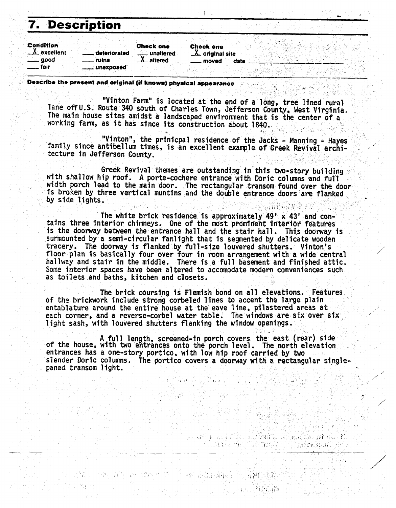# **7. Description**

| Description                                                      |                                          |                                                     |      |  |
|------------------------------------------------------------------|------------------------------------------|-----------------------------------------------------|------|--|
| Condition<br>$\Delta$ excellent<br>deteriorated<br>good<br>ruins | <b>Check one</b><br>unaltered<br>altered | <b>Check one</b><br>$\Delta$ original site<br>moved | date |  |
| fair<br>__ unexposed                                             |                                          |                                                     |      |  |

**u** 

/",

</

. i.

#### **Describe the present and original (if known) physical appearance** . . . .

"Vinton Farm" is located at the end of a long, tree lined rural lane off U.S. Route 340 south of Charles Town, Jefferson County, West Virginia. The main house sites amidst a landscaped environment that is the center of a working farm, as it has since its construction about 1840.

"Vinton", the prinicpal residence of the Jacks - Manning - Hayes family since antibellum times, is an excellent example of Greek Revival architecture in Jefferson County.

Greek Revival themes are outstanding in this two-story building with shallow hip roof. A porte-cochere entrance with Doric columns and full width porch lead to the main door. .The rectangular transom found over the door  $\,$ In the bottle read to the main door. The rectangular transom round over the door<br>is broken by three vertical muntins and the double entrance doors are flanked<br>by side lights.

The white brick residence is approximately 49' **x** 43' and con-<br>tains three interior chimneys. One of the most prominent interior features is the doorway between the entrance hall and the stair hall. This doorway is surmounted by a semi-circular fan1 ight that is segmented by delicate wooden tracery. The doorway is flanked **by** full -size louvered shutters, Vinton's floor plan is basically four over four in room arrangement **wI** th a wide central hallway and stair in the middle. There is a full basement and finished attic, Some interior spaces have been altered to accomodate modern conveniences such as toilets and baths, kitchen and closets.

The brick coursing is Flemish bond on all elevations. Features<br>of the brickwork include strong corbeled lines to accent the large plain of the brickwork include strong corbeled lines to accent the large plain<br>entablature around the entire house at the eave line, pilastered areas at and a starting of the same in the e<br>each corner, and a reverse-corbel water light sash, with louvered shutters flanking the window openings. I **I'** .

**<sup>A</sup>**full length, screened-in porch covers. the east (rear) **side**  of the house, with two entrances onto the porch level. The north elevation entrances has a one-story portico, with low hip roof carried by *two*  slender Doric columns. The portico covers a doorway with a rectangular single-<br>paned transom light.

c.. the control of the control of the control of the control of the control of the control of the control of t

'I **!t** . . , I **I.** ' . , ,b"i **.,:J/** . **I..** 

**i** I I

., 7 , . **LI** i *,I* **.I** ,~ **(,a il, ,-)I.**  <sup>r</sup>. .. '; . \* -. . . .- .. ),. **I** <sup>I</sup>'. **'.I <sup>1</sup>** L - - --- - - -- - --- - --- +-A. --

. , > 1 ; .; **i'** : -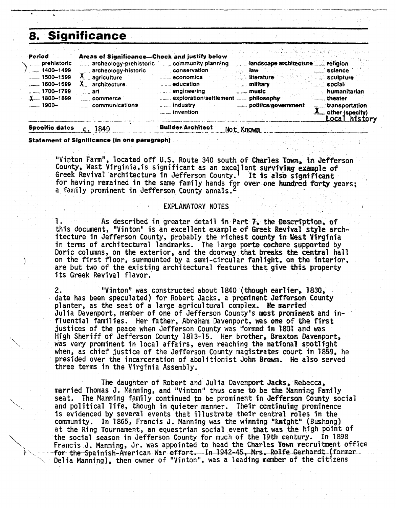## **8. Significance**

 $\ddot{\phantom{0}}$ '\

| <b>Significance</b>                                                                                                                                                                   |                                                                                                                                                                                                                                        |                                                                                                                                                                                                                |                                                                                      |                                 |                                                                                                                                                           |
|---------------------------------------------------------------------------------------------------------------------------------------------------------------------------------------|----------------------------------------------------------------------------------------------------------------------------------------------------------------------------------------------------------------------------------------|----------------------------------------------------------------------------------------------------------------------------------------------------------------------------------------------------------------|--------------------------------------------------------------------------------------|---------------------------------|-----------------------------------------------------------------------------------------------------------------------------------------------------------|
| Period<br>prehistoric<br>$-1400 - 1499$<br>$\frac{1}{2}$ 1500-1599<br>$-1600 - 1699$<br>$_{\sim}$ $_{\sim}$ 1700-1799<br>$X_{-}$ 1800-1899<br><u>. 1900-</u><br><b>Specific dates</b> | Areas of Significance—Check and justify below<br>archeology-prehistoric<br>archeology-historic<br>archeology-<br>X _ agriculture<br>X <sub>u</sub> architecture<br>… _ art∶<br><sub>----</sub> commerce<br>communications<br>$c.$ 1840 | community planning<br>$\overline{\phantom{a}}$ economics<br>$\overline{a}$ $\overline{a}$ education<br>engineering<br>exploration/settlement  philosophy<br><u>Lesse</u> invention<br><b>Builder/Architect</b> | …'…. law i<br><u>. literature</u><br>. military<br>$\overline{a}$ music<br>Not Known | landscape architecture religion | $\equiv$ science<br>sculpture<br>humanitarian<br><u>__</u> _theater<br>transportation<br>$\underline{\mathbf{A}}$ other (specify)<br><u>Local history</u> |

**Statement of Significance (in one paragraph)** 

"Vinton Farm", located off U.S. Route 340 south of Charles Town, in Jefferson County, West Virginia, is significant as an excellent surviving example of Greek Revival architecture in Jefferson County. It is also significant for having remained in the same family hands fgr over one hundred forty years; a family prominent in Jefferson County annals.

#### EXPLANATORY NOTES

**I.** As described in- greater detail in **Part** 7, **the fkscrt'ptfan; of**  this document, "Vinton" is an excellent example **of** Greek **Revival style** architecture in Jefferson County, probably the richest **county** *fn* **&st** Virginia in terms of architectural landmarks. The large porte **cochere** supported by Doric columns, on the exterior, and the doorway that **breaks** the central hall on the first floor, surmounted by a semi-circular fanlight, on the interior, are but two of the existing architectural features that give this property its Greek Revival flavor.

**2.** "Vinton" was constructed about 1840 **(though earlier, 1830,**  date has been speculated) for Robert Jacks, a prominent Jefferson County planter, as the seat of a large agricultural complex. He married Julia Davenport, member of one of Jefferson County's **most prominent and** influential families. Her father, Abraham Davenport, **ws one of the** first justices of the peace when Jefferson County was fomed **f n 1801** and **was**  High Sheriff of Jefferson County 1813-15. Her brother, Braxton Davenport, was very prominent in local affairs, even reaching the national spotlight when, as chief justice of the Jefferson County magistrates court in 1859, he presided over the incarceration of abolitionist John **Brown. He** also served three terms in the Virginia Assembly.

The daughter of Robert and Jul ia Davenport **Jacks, Rebecca,** married Thomas **3.** Manning, and "Vinton" thus came to be **the Banning** Family seat. The Manning family continued to be prominent **in Jefferscm County** social and pol i tical **1** ife, though in quieter manner. Their **continuing** prominence is evidenced by several events that illustrate their **central roles in** the community. In 1865, Francis J. Manning was the winning **"knight"** (Bushong) at the Ring Tournament, an equestrian social event **that** was the **high** point of \ the social season in Jefferson County for much of the **29th** century. In 1898 ' . Francis J. Manning, Jr. was appointed to head the **Charles Town** recruitment office for the Spainish-American War effort. In 1942-45, Mrs. Rolfe Gerhardt (former Delia Manning), then owner of "Vinton", was a leading member of the citizens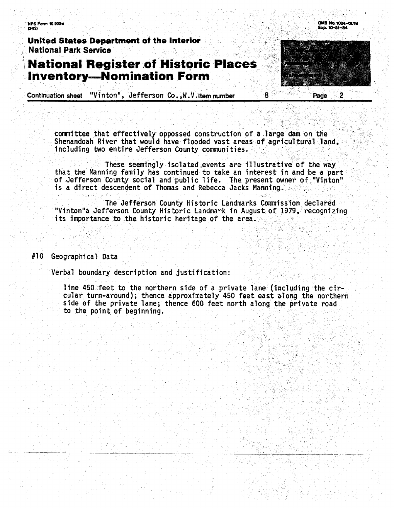**NPS Form 10-900-a**  $(3-82)$ 

United States Department of the Interior **National Park Service** 

# **National Register of Historic Places Inventory-Nomination Form**

"Vinton", Jefferson Co., W.V. Item number **Continuation sheet** 

> committee that effectively oppossed construction of a large dam on the Shenandoah River that would have flooded vast areas of agricultural land, including two entire Jefferson County communities.

8

OMB No. 1024-0018

 $\overline{2}$ 

Page

Exp. 10-31-84

These seemingly isolated events are illustrative of the way that the Manning family has continued to take an interest in and be a part of Jefferson County social and public life. The present owner of "Vinton" is a direct descendent of Thomas and Rebecca Jacks Manning.

The Jefferson County Historic Landmarks Commission declared "Vinton"a Jefferson County Historic Landmark in August of 1979, recognizing its importance to the historic heritage of the area.

#10 Geographical Data

Verbal boundary description and justification:

line 450 feet to the northern side of a private lane (including the circular turn-around); thence approximately 450 feet east along the northern side of the private lane; thence 600 feet north along the private road to the point of beginning.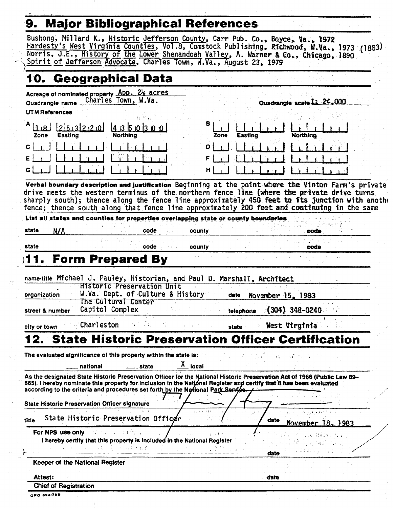#### $\overline{\bullet}$ Maior Ribliographical References

 $\sim$  1

| 10. Geographical Data<br>Acreage of nominated property App. 21/2 acres<br>Charles Town, W.Va.<br>Quadrangle scale 1: 24.000<br>Quadrangle name_<br><b>UTM References</b><br>в<br>2513220<br>41350300<br><b>Northing</b><br>Easting<br>Easting<br>Zone<br><b>Northing</b><br>Zone<br>ן ∤ מ<br>$\mathbf{c}$<br>FI<br>ε<br>G <br>$H \mid$<br>Verbal boundary description and justification Beginning at the point where the Vinton Farm's private<br>drive meets the western terminus of the northern fence line (where the private drive turns<br>sharply south); thence along the fence line approximately 450 feet to its junction with anothe<br>fence; thence south along that fence line approximately 200 feet and continuing in the same<br>List all states and counties for properties overlapping state or county boundaries<br>state<br>N/A<br>code<br>county<br>code<br>state<br>code<br>county<br>code<br><b>Form Prepared By</b><br>11.<br>name/title Michael J. Pauley, Historian, and Paul D. Marshall, Architect<br><b>Historic Preservation Unit</b><br>W.Va. Dept. of Culture & History<br>organization<br>date<br>November 15, 1983<br>The Cultural Center<br>Capitol Complex<br>$(304)$ 348-0240<br>street & number<br>telephone<br>$\mathcal{A} \subseteq \mathcal{A}$<br>Charleston<br>West Virginia<br>state<br>city or town<br><b>12. State Historic Preservation Officer Certification</b><br>The evaluated significance of this property within the state is:<br>$\frac{\lambda}{\lambda}$ local<br>national<br><u>___</u> __ state<br>As the designated State Historic Preservation Officer for the National Historic Preservation Act of 1966 (Public Law 89-<br>665), I hereby nominate this property for inclusion in the National Register and certify that it has been evaluated<br>according to the criteria and procedures set forth by the National Park Service.<br><b>State Historic Preservation Officer signature</b><br>a salatan<br>State Historic Preservation Officer<br>title<br>date<br>November 18, 1983<br><b>For NPS use only</b> the final state of<br>I hereby certify that this property is included in the National Register<br>医耳聋 医心脏 医线 经工作人员 经国家管理<br>date<br>Keeper of the National Register<br>Attest:<br>date<br><b>Chief of Registration</b> | Bushong, Millard K., Historic Jefferson County, Carr Pub. Co., Boyce, Va., 1972<br>Spirit of Jefferson Advocate, Charles Town, W.Va., August 23, 1979 | Hardesty's West Virginia Counties, Vol.8, Comstock Publishing, Richwood, M.Va., 1973 (1883)<br>Norris, J.E., History of the Lower Shenandoah Valley, A. Warner & Co., Chicago, 1890 |
|--------------------------------------------------------------------------------------------------------------------------------------------------------------------------------------------------------------------------------------------------------------------------------------------------------------------------------------------------------------------------------------------------------------------------------------------------------------------------------------------------------------------------------------------------------------------------------------------------------------------------------------------------------------------------------------------------------------------------------------------------------------------------------------------------------------------------------------------------------------------------------------------------------------------------------------------------------------------------------------------------------------------------------------------------------------------------------------------------------------------------------------------------------------------------------------------------------------------------------------------------------------------------------------------------------------------------------------------------------------------------------------------------------------------------------------------------------------------------------------------------------------------------------------------------------------------------------------------------------------------------------------------------------------------------------------------------------------------------------------------------------------------------------------------------------------------------------------------------------------------------------------------------------------------------------------------------------------------------------------------------------------------------------------------------------------------------------------------------------------------------------------------------------------------------------------------------------------------------------------------------------------------------------------------------------|-------------------------------------------------------------------------------------------------------------------------------------------------------|-------------------------------------------------------------------------------------------------------------------------------------------------------------------------------------|
|                                                                                                                                                                                                                                                                                                                                                                                                                                                                                                                                                                                                                                                                                                                                                                                                                                                                                                                                                                                                                                                                                                                                                                                                                                                                                                                                                                                                                                                                                                                                                                                                                                                                                                                                                                                                                                                                                                                                                                                                                                                                                                                                                                                                                                                                                                        |                                                                                                                                                       |                                                                                                                                                                                     |
|                                                                                                                                                                                                                                                                                                                                                                                                                                                                                                                                                                                                                                                                                                                                                                                                                                                                                                                                                                                                                                                                                                                                                                                                                                                                                                                                                                                                                                                                                                                                                                                                                                                                                                                                                                                                                                                                                                                                                                                                                                                                                                                                                                                                                                                                                                        |                                                                                                                                                       |                                                                                                                                                                                     |
|                                                                                                                                                                                                                                                                                                                                                                                                                                                                                                                                                                                                                                                                                                                                                                                                                                                                                                                                                                                                                                                                                                                                                                                                                                                                                                                                                                                                                                                                                                                                                                                                                                                                                                                                                                                                                                                                                                                                                                                                                                                                                                                                                                                                                                                                                                        |                                                                                                                                                       |                                                                                                                                                                                     |
|                                                                                                                                                                                                                                                                                                                                                                                                                                                                                                                                                                                                                                                                                                                                                                                                                                                                                                                                                                                                                                                                                                                                                                                                                                                                                                                                                                                                                                                                                                                                                                                                                                                                                                                                                                                                                                                                                                                                                                                                                                                                                                                                                                                                                                                                                                        |                                                                                                                                                       |                                                                                                                                                                                     |
|                                                                                                                                                                                                                                                                                                                                                                                                                                                                                                                                                                                                                                                                                                                                                                                                                                                                                                                                                                                                                                                                                                                                                                                                                                                                                                                                                                                                                                                                                                                                                                                                                                                                                                                                                                                                                                                                                                                                                                                                                                                                                                                                                                                                                                                                                                        |                                                                                                                                                       |                                                                                                                                                                                     |
|                                                                                                                                                                                                                                                                                                                                                                                                                                                                                                                                                                                                                                                                                                                                                                                                                                                                                                                                                                                                                                                                                                                                                                                                                                                                                                                                                                                                                                                                                                                                                                                                                                                                                                                                                                                                                                                                                                                                                                                                                                                                                                                                                                                                                                                                                                        |                                                                                                                                                       |                                                                                                                                                                                     |
|                                                                                                                                                                                                                                                                                                                                                                                                                                                                                                                                                                                                                                                                                                                                                                                                                                                                                                                                                                                                                                                                                                                                                                                                                                                                                                                                                                                                                                                                                                                                                                                                                                                                                                                                                                                                                                                                                                                                                                                                                                                                                                                                                                                                                                                                                                        |                                                                                                                                                       |                                                                                                                                                                                     |
|                                                                                                                                                                                                                                                                                                                                                                                                                                                                                                                                                                                                                                                                                                                                                                                                                                                                                                                                                                                                                                                                                                                                                                                                                                                                                                                                                                                                                                                                                                                                                                                                                                                                                                                                                                                                                                                                                                                                                                                                                                                                                                                                                                                                                                                                                                        |                                                                                                                                                       |                                                                                                                                                                                     |
|                                                                                                                                                                                                                                                                                                                                                                                                                                                                                                                                                                                                                                                                                                                                                                                                                                                                                                                                                                                                                                                                                                                                                                                                                                                                                                                                                                                                                                                                                                                                                                                                                                                                                                                                                                                                                                                                                                                                                                                                                                                                                                                                                                                                                                                                                                        |                                                                                                                                                       |                                                                                                                                                                                     |
|                                                                                                                                                                                                                                                                                                                                                                                                                                                                                                                                                                                                                                                                                                                                                                                                                                                                                                                                                                                                                                                                                                                                                                                                                                                                                                                                                                                                                                                                                                                                                                                                                                                                                                                                                                                                                                                                                                                                                                                                                                                                                                                                                                                                                                                                                                        |                                                                                                                                                       |                                                                                                                                                                                     |
|                                                                                                                                                                                                                                                                                                                                                                                                                                                                                                                                                                                                                                                                                                                                                                                                                                                                                                                                                                                                                                                                                                                                                                                                                                                                                                                                                                                                                                                                                                                                                                                                                                                                                                                                                                                                                                                                                                                                                                                                                                                                                                                                                                                                                                                                                                        |                                                                                                                                                       |                                                                                                                                                                                     |
|                                                                                                                                                                                                                                                                                                                                                                                                                                                                                                                                                                                                                                                                                                                                                                                                                                                                                                                                                                                                                                                                                                                                                                                                                                                                                                                                                                                                                                                                                                                                                                                                                                                                                                                                                                                                                                                                                                                                                                                                                                                                                                                                                                                                                                                                                                        |                                                                                                                                                       |                                                                                                                                                                                     |
|                                                                                                                                                                                                                                                                                                                                                                                                                                                                                                                                                                                                                                                                                                                                                                                                                                                                                                                                                                                                                                                                                                                                                                                                                                                                                                                                                                                                                                                                                                                                                                                                                                                                                                                                                                                                                                                                                                                                                                                                                                                                                                                                                                                                                                                                                                        |                                                                                                                                                       |                                                                                                                                                                                     |
|                                                                                                                                                                                                                                                                                                                                                                                                                                                                                                                                                                                                                                                                                                                                                                                                                                                                                                                                                                                                                                                                                                                                                                                                                                                                                                                                                                                                                                                                                                                                                                                                                                                                                                                                                                                                                                                                                                                                                                                                                                                                                                                                                                                                                                                                                                        |                                                                                                                                                       |                                                                                                                                                                                     |
|                                                                                                                                                                                                                                                                                                                                                                                                                                                                                                                                                                                                                                                                                                                                                                                                                                                                                                                                                                                                                                                                                                                                                                                                                                                                                                                                                                                                                                                                                                                                                                                                                                                                                                                                                                                                                                                                                                                                                                                                                                                                                                                                                                                                                                                                                                        |                                                                                                                                                       |                                                                                                                                                                                     |
|                                                                                                                                                                                                                                                                                                                                                                                                                                                                                                                                                                                                                                                                                                                                                                                                                                                                                                                                                                                                                                                                                                                                                                                                                                                                                                                                                                                                                                                                                                                                                                                                                                                                                                                                                                                                                                                                                                                                                                                                                                                                                                                                                                                                                                                                                                        |                                                                                                                                                       |                                                                                                                                                                                     |
|                                                                                                                                                                                                                                                                                                                                                                                                                                                                                                                                                                                                                                                                                                                                                                                                                                                                                                                                                                                                                                                                                                                                                                                                                                                                                                                                                                                                                                                                                                                                                                                                                                                                                                                                                                                                                                                                                                                                                                                                                                                                                                                                                                                                                                                                                                        |                                                                                                                                                       |                                                                                                                                                                                     |
|                                                                                                                                                                                                                                                                                                                                                                                                                                                                                                                                                                                                                                                                                                                                                                                                                                                                                                                                                                                                                                                                                                                                                                                                                                                                                                                                                                                                                                                                                                                                                                                                                                                                                                                                                                                                                                                                                                                                                                                                                                                                                                                                                                                                                                                                                                        |                                                                                                                                                       |                                                                                                                                                                                     |
|                                                                                                                                                                                                                                                                                                                                                                                                                                                                                                                                                                                                                                                                                                                                                                                                                                                                                                                                                                                                                                                                                                                                                                                                                                                                                                                                                                                                                                                                                                                                                                                                                                                                                                                                                                                                                                                                                                                                                                                                                                                                                                                                                                                                                                                                                                        |                                                                                                                                                       |                                                                                                                                                                                     |
|                                                                                                                                                                                                                                                                                                                                                                                                                                                                                                                                                                                                                                                                                                                                                                                                                                                                                                                                                                                                                                                                                                                                                                                                                                                                                                                                                                                                                                                                                                                                                                                                                                                                                                                                                                                                                                                                                                                                                                                                                                                                                                                                                                                                                                                                                                        |                                                                                                                                                       |                                                                                                                                                                                     |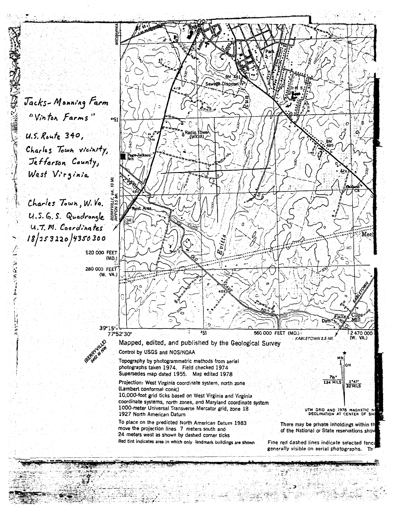